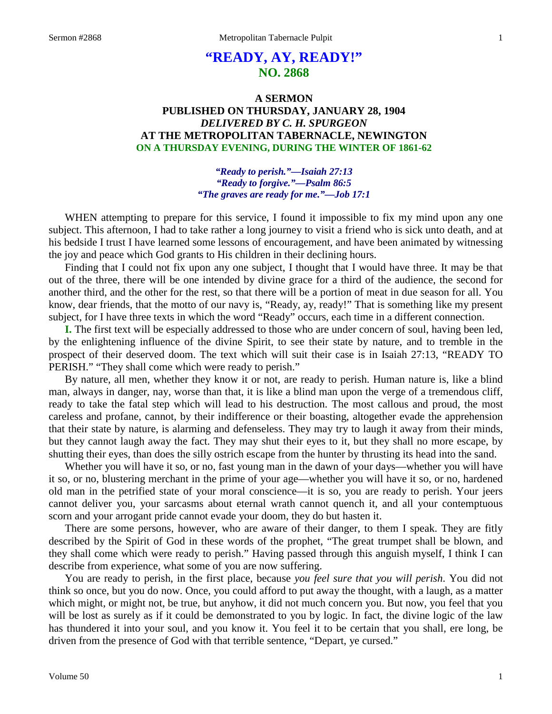# **"READY, AY, READY!" NO. 2868**

## **A SERMON PUBLISHED ON THURSDAY, JANUARY 28, 1904** *DELIVERED BY C. H. SPURGEON* **AT THE METROPOLITAN TABERNACLE, NEWINGTON ON A THURSDAY EVENING, DURING THE WINTER OF 1861-62**

### *"Ready to perish."—Isaiah 27:13 "Ready to forgive."—Psalm 86:5 "The graves are ready for me."—Job 17:1*

WHEN attempting to prepare for this service, I found it impossible to fix my mind upon any one subject. This afternoon, I had to take rather a long journey to visit a friend who is sick unto death, and at his bedside I trust I have learned some lessons of encouragement, and have been animated by witnessing the joy and peace which God grants to His children in their declining hours.

Finding that I could not fix upon any one subject, I thought that I would have three. It may be that out of the three, there will be one intended by divine grace for a third of the audience, the second for another third, and the other for the rest, so that there will be a portion of meat in due season for all. You know, dear friends, that the motto of our navy is, "Ready, ay, ready!" That is something like my present subject, for I have three texts in which the word "Ready" occurs, each time in a different connection.

**I.** The first text will be especially addressed to those who are under concern of soul, having been led, by the enlightening influence of the divine Spirit, to see their state by nature, and to tremble in the prospect of their deserved doom. The text which will suit their case is in Isaiah 27:13, "READY TO PERISH." "They shall come which were ready to perish."

By nature, all men, whether they know it or not, are ready to perish. Human nature is, like a blind man, always in danger, nay, worse than that, it is like a blind man upon the verge of a tremendous cliff, ready to take the fatal step which will lead to his destruction. The most callous and proud, the most careless and profane, cannot, by their indifference or their boasting, altogether evade the apprehension that their state by nature, is alarming and defenseless. They may try to laugh it away from their minds, but they cannot laugh away the fact. They may shut their eyes to it, but they shall no more escape, by shutting their eyes, than does the silly ostrich escape from the hunter by thrusting its head into the sand.

Whether you will have it so, or no, fast young man in the dawn of your days—whether you will have it so, or no, blustering merchant in the prime of your age—whether you will have it so, or no, hardened old man in the petrified state of your moral conscience—it is so, you are ready to perish. Your jeers cannot deliver you, your sarcasms about eternal wrath cannot quench it, and all your contemptuous scorn and your arrogant pride cannot evade your doom, they do but hasten it.

There are some persons, however, who are aware of their danger, to them I speak. They are fitly described by the Spirit of God in these words of the prophet, "The great trumpet shall be blown, and they shall come which were ready to perish." Having passed through this anguish myself, I think I can describe from experience, what some of you are now suffering.

You are ready to perish, in the first place, because *you feel sure that you will perish*. You did not think so once, but you do now. Once, you could afford to put away the thought, with a laugh, as a matter which might, or might not, be true, but anyhow, it did not much concern you. But now, you feel that you will be lost as surely as if it could be demonstrated to you by logic. In fact, the divine logic of the law has thundered it into your soul, and you know it. You feel it to be certain that you shall, ere long, be driven from the presence of God with that terrible sentence, "Depart, ye cursed."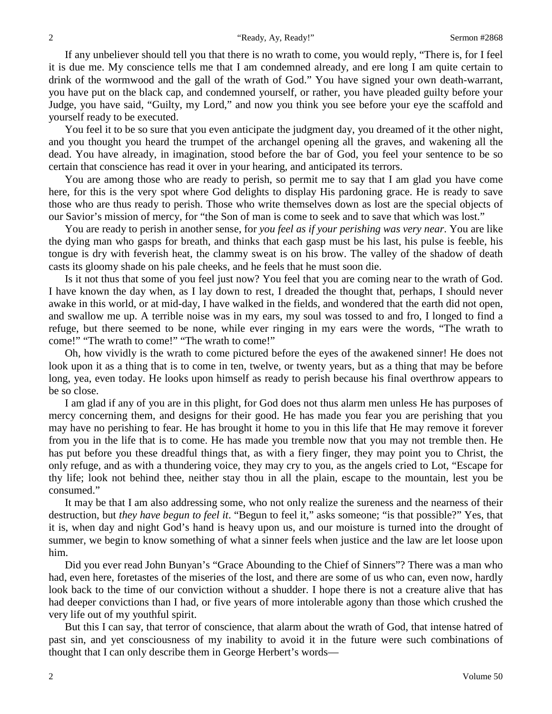If any unbeliever should tell you that there is no wrath to come, you would reply, "There is, for I feel it is due me. My conscience tells me that I am condemned already, and ere long I am quite certain to drink of the wormwood and the gall of the wrath of God." You have signed your own death-warrant, you have put on the black cap, and condemned yourself, or rather, you have pleaded guilty before your Judge, you have said, "Guilty, my Lord," and now you think you see before your eye the scaffold and yourself ready to be executed.

You feel it to be so sure that you even anticipate the judgment day, you dreamed of it the other night, and you thought you heard the trumpet of the archangel opening all the graves, and wakening all the dead. You have already, in imagination, stood before the bar of God, you feel your sentence to be so certain that conscience has read it over in your hearing, and anticipated its terrors.

You are among those who are ready to perish, so permit me to say that I am glad you have come here, for this is the very spot where God delights to display His pardoning grace. He is ready to save those who are thus ready to perish. Those who write themselves down as lost are the special objects of our Savior's mission of mercy, for "the Son of man is come to seek and to save that which was lost."

You are ready to perish in another sense, for *you feel as if your perishing was very near*. You are like the dying man who gasps for breath, and thinks that each gasp must be his last, his pulse is feeble, his tongue is dry with feverish heat, the clammy sweat is on his brow. The valley of the shadow of death casts its gloomy shade on his pale cheeks, and he feels that he must soon die.

Is it not thus that some of you feel just now? You feel that you are coming near to the wrath of God. I have known the day when, as I lay down to rest, I dreaded the thought that, perhaps, I should never awake in this world, or at mid-day, I have walked in the fields, and wondered that the earth did not open, and swallow me up. A terrible noise was in my ears, my soul was tossed to and fro, I longed to find a refuge, but there seemed to be none, while ever ringing in my ears were the words, "The wrath to come!" "The wrath to come!" "The wrath to come!"

Oh, how vividly is the wrath to come pictured before the eyes of the awakened sinner! He does not look upon it as a thing that is to come in ten, twelve, or twenty years, but as a thing that may be before long, yea, even today. He looks upon himself as ready to perish because his final overthrow appears to be so close.

I am glad if any of you are in this plight, for God does not thus alarm men unless He has purposes of mercy concerning them, and designs for their good. He has made you fear you are perishing that you may have no perishing to fear. He has brought it home to you in this life that He may remove it forever from you in the life that is to come. He has made you tremble now that you may not tremble then. He has put before you these dreadful things that, as with a fiery finger, they may point you to Christ, the only refuge, and as with a thundering voice, they may cry to you, as the angels cried to Lot, "Escape for thy life; look not behind thee, neither stay thou in all the plain, escape to the mountain, lest you be consumed."

It may be that I am also addressing some, who not only realize the sureness and the nearness of their destruction, but *they have begun to feel it*. "Begun to feel it," asks someone; "is that possible?" Yes, that it is, when day and night God's hand is heavy upon us, and our moisture is turned into the drought of summer, we begin to know something of what a sinner feels when justice and the law are let loose upon him.

Did you ever read John Bunyan's "Grace Abounding to the Chief of Sinners"? There was a man who had, even here, foretastes of the miseries of the lost, and there are some of us who can, even now, hardly look back to the time of our conviction without a shudder. I hope there is not a creature alive that has had deeper convictions than I had, or five years of more intolerable agony than those which crushed the very life out of my youthful spirit.

But this I can say, that terror of conscience, that alarm about the wrath of God, that intense hatred of past sin, and yet consciousness of my inability to avoid it in the future were such combinations of thought that I can only describe them in George Herbert's words—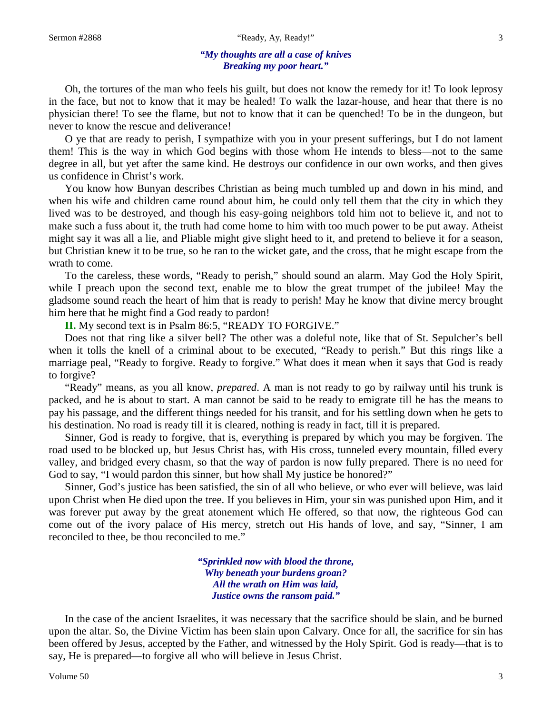#### *"My thoughts are all a case of knives Breaking my poor heart."*

Oh, the tortures of the man who feels his guilt, but does not know the remedy for it! To look leprosy in the face, but not to know that it may be healed! To walk the lazar-house, and hear that there is no physician there! To see the flame, but not to know that it can be quenched! To be in the dungeon, but never to know the rescue and deliverance!

O ye that are ready to perish, I sympathize with you in your present sufferings, but I do not lament them! This is the way in which God begins with those whom He intends to bless—not to the same degree in all, but yet after the same kind. He destroys our confidence in our own works, and then gives us confidence in Christ's work.

You know how Bunyan describes Christian as being much tumbled up and down in his mind, and when his wife and children came round about him, he could only tell them that the city in which they lived was to be destroyed, and though his easy-going neighbors told him not to believe it, and not to make such a fuss about it, the truth had come home to him with too much power to be put away. Atheist might say it was all a lie, and Pliable might give slight heed to it, and pretend to believe it for a season, but Christian knew it to be true, so he ran to the wicket gate, and the cross, that he might escape from the wrath to come.

To the careless, these words, "Ready to perish," should sound an alarm. May God the Holy Spirit, while I preach upon the second text, enable me to blow the great trumpet of the jubilee! May the gladsome sound reach the heart of him that is ready to perish! May he know that divine mercy brought him here that he might find a God ready to pardon!

**II.** My second text is in Psalm 86:5, "READY TO FORGIVE."

Does not that ring like a silver bell? The other was a doleful note, like that of St. Sepulcher's bell when it tolls the knell of a criminal about to be executed, "Ready to perish." But this rings like a marriage peal, "Ready to forgive. Ready to forgive." What does it mean when it says that God is ready to forgive?

"Ready" means, as you all know, *prepared*. A man is not ready to go by railway until his trunk is packed, and he is about to start. A man cannot be said to be ready to emigrate till he has the means to pay his passage, and the different things needed for his transit, and for his settling down when he gets to his destination. No road is ready till it is cleared, nothing is ready in fact, till it is prepared.

Sinner, God is ready to forgive, that is, everything is prepared by which you may be forgiven. The road used to be blocked up, but Jesus Christ has, with His cross, tunneled every mountain, filled every valley, and bridged every chasm, so that the way of pardon is now fully prepared. There is no need for God to say, "I would pardon this sinner, but how shall My justice be honored?"

Sinner, God's justice has been satisfied, the sin of all who believe, or who ever will believe, was laid upon Christ when He died upon the tree. If you believes in Him, your sin was punished upon Him, and it was forever put away by the great atonement which He offered, so that now, the righteous God can come out of the ivory palace of His mercy, stretch out His hands of love, and say, "Sinner, I am reconciled to thee, be thou reconciled to me."

> *"Sprinkled now with blood the throne, Why beneath your burdens groan? All the wrath on Him was laid, Justice owns the ransom paid."*

In the case of the ancient Israelites, it was necessary that the sacrifice should be slain, and be burned upon the altar. So, the Divine Victim has been slain upon Calvary. Once for all, the sacrifice for sin has been offered by Jesus, accepted by the Father, and witnessed by the Holy Spirit. God is ready—that is to say, He is prepared—to forgive all who will believe in Jesus Christ.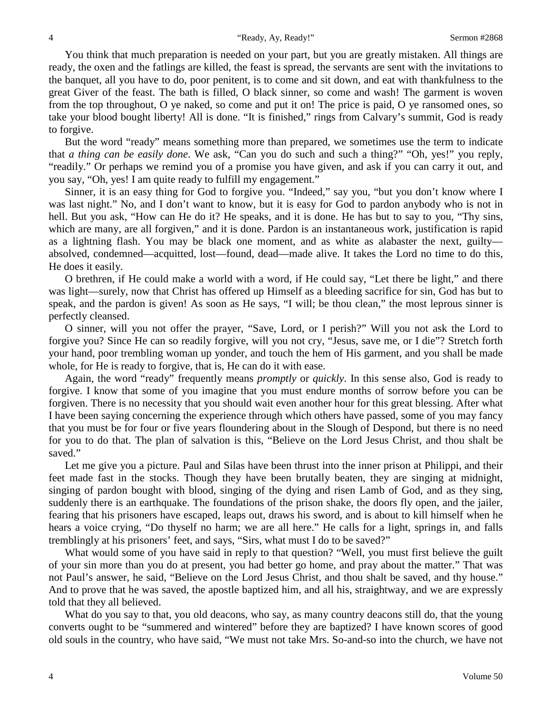You think that much preparation is needed on your part, but you are greatly mistaken. All things are ready, the oxen and the fatlings are killed, the feast is spread, the servants are sent with the invitations to the banquet, all you have to do, poor penitent, is to come and sit down, and eat with thankfulness to the great Giver of the feast. The bath is filled, O black sinner, so come and wash! The garment is woven from the top throughout, O ye naked, so come and put it on! The price is paid, O ye ransomed ones, so take your blood bought liberty! All is done. "It is finished," rings from Calvary's summit, God is ready to forgive.

But the word "ready" means something more than prepared, we sometimes use the term to indicate that *a thing can be easily done*. We ask, "Can you do such and such a thing?" "Oh, yes!" you reply, "readily." Or perhaps we remind you of a promise you have given, and ask if you can carry it out, and you say, "Oh, yes! I am quite ready to fulfill my engagement."

Sinner, it is an easy thing for God to forgive you. "Indeed," say you, "but you don't know where I was last night." No, and I don't want to know, but it is easy for God to pardon anybody who is not in hell. But you ask, "How can He do it? He speaks, and it is done. He has but to say to you, "Thy sins, which are many, are all forgiven," and it is done. Pardon is an instantaneous work, justification is rapid as a lightning flash. You may be black one moment, and as white as alabaster the next, guilty absolved, condemned—acquitted, lost—found, dead—made alive. It takes the Lord no time to do this, He does it easily.

O brethren, if He could make a world with a word, if He could say, "Let there be light," and there was light—surely, now that Christ has offered up Himself as a bleeding sacrifice for sin, God has but to speak, and the pardon is given! As soon as He says, "I will; be thou clean," the most leprous sinner is perfectly cleansed.

O sinner, will you not offer the prayer, "Save, Lord, or I perish?" Will you not ask the Lord to forgive you? Since He can so readily forgive, will you not cry, "Jesus, save me, or I die"? Stretch forth your hand, poor trembling woman up yonder, and touch the hem of His garment, and you shall be made whole, for He is ready to forgive, that is, He can do it with ease.

Again, the word "ready" frequently means *promptly* or *quickly*. In this sense also, God is ready to forgive. I know that some of you imagine that you must endure months of sorrow before you can be forgiven. There is no necessity that you should wait even another hour for this great blessing. After what I have been saying concerning the experience through which others have passed, some of you may fancy that you must be for four or five years floundering about in the Slough of Despond, but there is no need for you to do that. The plan of salvation is this, "Believe on the Lord Jesus Christ, and thou shalt be saved."

Let me give you a picture. Paul and Silas have been thrust into the inner prison at Philippi, and their feet made fast in the stocks. Though they have been brutally beaten, they are singing at midnight, singing of pardon bought with blood, singing of the dying and risen Lamb of God, and as they sing, suddenly there is an earthquake. The foundations of the prison shake, the doors fly open, and the jailer, fearing that his prisoners have escaped, leaps out, draws his sword, and is about to kill himself when he hears a voice crying, "Do thyself no harm; we are all here." He calls for a light, springs in, and falls tremblingly at his prisoners' feet, and says, "Sirs, what must I do to be saved?"

What would some of you have said in reply to that question? "Well, you must first believe the guilt of your sin more than you do at present, you had better go home, and pray about the matter." That was not Paul's answer, he said, "Believe on the Lord Jesus Christ, and thou shalt be saved, and thy house." And to prove that he was saved, the apostle baptized him, and all his, straightway, and we are expressly told that they all believed.

What do you say to that, you old deacons, who say, as many country deacons still do, that the young converts ought to be "summered and wintered" before they are baptized? I have known scores of good old souls in the country, who have said, "We must not take Mrs. So-and-so into the church, we have not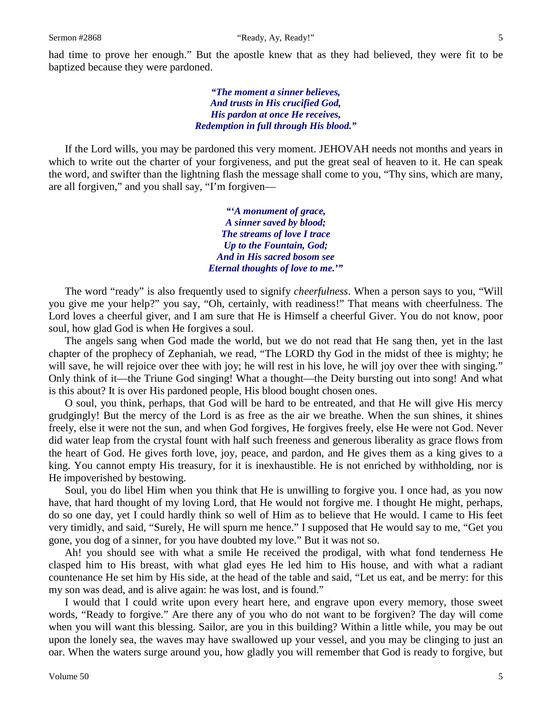had time to prove her enough." But the apostle knew that as they had believed, they were fit to be baptized because they were pardoned.

> *"The moment a sinner believes, And trusts in His crucified God, His pardon at once He receives, Redemption in full through His blood."*

If the Lord wills, you may be pardoned this very moment. JEHOVAH needs not months and years in which to write out the charter of your forgiveness, and put the great seal of heaven to it. He can speak the word, and swifter than the lightning flash the message shall come to you, "Thy sins, which are many, are all forgiven," and you shall say, "I'm forgiven—

> *"'A monument of grace, A sinner saved by blood; The streams of love I trace Up to the Fountain, God; And in His sacred bosom see Eternal thoughts of love to me.'"*

The word "ready" is also frequently used to signify *cheerfulness*. When a person says to you, "Will you give me your help?" you say, "Oh, certainly, with readiness!" That means with cheerfulness. The Lord loves a cheerful giver, and I am sure that He is Himself a cheerful Giver. You do not know, poor soul, how glad God is when He forgives a soul.

The angels sang when God made the world, but we do not read that He sang then, yet in the last chapter of the prophecy of Zephaniah, we read, "The LORD thy God in the midst of thee is mighty; he will save, he will rejoice over thee with joy; he will rest in his love, he will joy over thee with singing." Only think of it—the Triune God singing! What a thought—the Deity bursting out into song! And what is this about? It is over His pardoned people, His blood bought chosen ones.

O soul, you think, perhaps, that God will be hard to be entreated, and that He will give His mercy grudgingly! But the mercy of the Lord is as free as the air we breathe. When the sun shines, it shines freely, else it were not the sun, and when God forgives, He forgives freely, else He were not God. Never did water leap from the crystal fount with half such freeness and generous liberality as grace flows from the heart of God. He gives forth love, joy, peace, and pardon, and He gives them as a king gives to a king. You cannot empty His treasury, for it is inexhaustible. He is not enriched by withholding, nor is He impoverished by bestowing.

Soul, you do libel Him when you think that He is unwilling to forgive you. I once had, as you now have, that hard thought of my loving Lord, that He would not forgive me. I thought He might, perhaps, do so one day, yet I could hardly think so well of Him as to believe that He would. I came to His feet very timidly, and said, "Surely, He will spurn me hence." I supposed that He would say to me, "Get you gone, you dog of a sinner, for you have doubted my love." But it was not so.

Ah! you should see with what a smile He received the prodigal, with what fond tenderness He clasped him to His breast, with what glad eyes He led him to His house, and with what a radiant countenance He set him by His side, at the head of the table and said, "Let us eat, and be merry: for this my son was dead, and is alive again: he was lost, and is found."

I would that I could write upon every heart here, and engrave upon every memory, those sweet words, "Ready to forgive." Are there any of you who do not want to be forgiven? The day will come when you will want this blessing. Sailor, are you in this building? Within a little while, you may be out upon the lonely sea, the waves may have swallowed up your vessel, and you may be clinging to just an oar. When the waters surge around you, how gladly you will remember that God is ready to forgive, but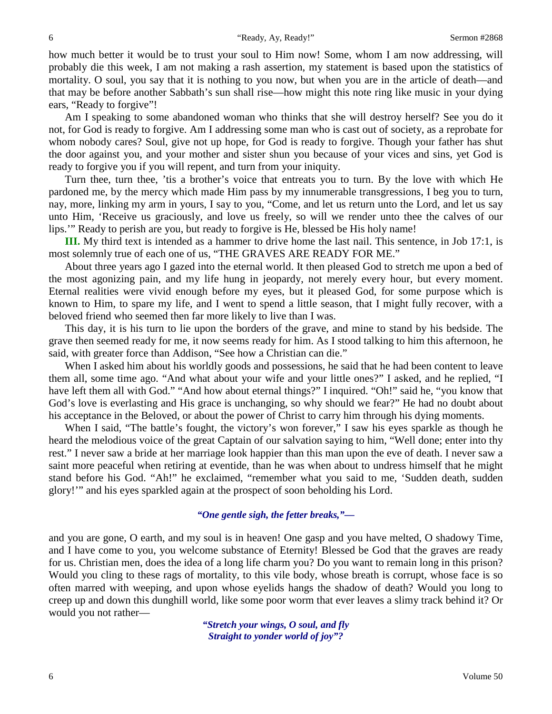how much better it would be to trust your soul to Him now! Some, whom I am now addressing, will probably die this week, I am not making a rash assertion, my statement is based upon the statistics of mortality. O soul, you say that it is nothing to you now, but when you are in the article of death—and that may be before another Sabbath's sun shall rise—how might this note ring like music in your dying ears, "Ready to forgive"!

Am I speaking to some abandoned woman who thinks that she will destroy herself? See you do it not, for God is ready to forgive. Am I addressing some man who is cast out of society, as a reprobate for whom nobody cares? Soul, give not up hope, for God is ready to forgive. Though your father has shut the door against you, and your mother and sister shun you because of your vices and sins, yet God is ready to forgive you if you will repent, and turn from your iniquity.

Turn thee, turn thee, 'tis a brother's voice that entreats you to turn. By the love with which He pardoned me, by the mercy which made Him pass by my innumerable transgressions, I beg you to turn, nay, more, linking my arm in yours, I say to you, "Come, and let us return unto the Lord, and let us say unto Him, 'Receive us graciously, and love us freely, so will we render unto thee the calves of our lips.'" Ready to perish are you, but ready to forgive is He, blessed be His holy name!

**III.** My third text is intended as a hammer to drive home the last nail. This sentence, in Job 17:1, is most solemnly true of each one of us, "THE GRAVES ARE READY FOR ME."

About three years ago I gazed into the eternal world. It then pleased God to stretch me upon a bed of the most agonizing pain, and my life hung in jeopardy, not merely every hour, but every moment. Eternal realities were vivid enough before my eyes, but it pleased God, for some purpose which is known to Him, to spare my life, and I went to spend a little season, that I might fully recover, with a beloved friend who seemed then far more likely to live than I was.

This day, it is his turn to lie upon the borders of the grave, and mine to stand by his bedside. The grave then seemed ready for me, it now seems ready for him. As I stood talking to him this afternoon, he said, with greater force than Addison, "See how a Christian can die."

When I asked him about his worldly goods and possessions, he said that he had been content to leave them all, some time ago. "And what about your wife and your little ones?" I asked, and he replied, "I have left them all with God." "And how about eternal things?" I inquired. "Oh!" said he, "you know that God's love is everlasting and His grace is unchanging, so why should we fear?" He had no doubt about his acceptance in the Beloved, or about the power of Christ to carry him through his dying moments.

When I said, "The battle's fought, the victory's won forever," I saw his eyes sparkle as though he heard the melodious voice of the great Captain of our salvation saying to him, "Well done; enter into thy rest." I never saw a bride at her marriage look happier than this man upon the eve of death. I never saw a saint more peaceful when retiring at eventide, than he was when about to undress himself that he might stand before his God. "Ah!" he exclaimed, "remember what you said to me, 'Sudden death, sudden glory!'" and his eyes sparkled again at the prospect of soon beholding his Lord.

#### *"One gentle sigh, the fetter breaks,"—*

and you are gone, O earth, and my soul is in heaven! One gasp and you have melted, O shadowy Time, and I have come to you, you welcome substance of Eternity! Blessed be God that the graves are ready for us. Christian men, does the idea of a long life charm you? Do you want to remain long in this prison? Would you cling to these rags of mortality, to this vile body, whose breath is corrupt, whose face is so often marred with weeping, and upon whose eyelids hangs the shadow of death? Would you long to creep up and down this dunghill world, like some poor worm that ever leaves a slimy track behind it? Or would you not rather—

> *"Stretch your wings, O soul, and fly Straight to yonder world of joy"?*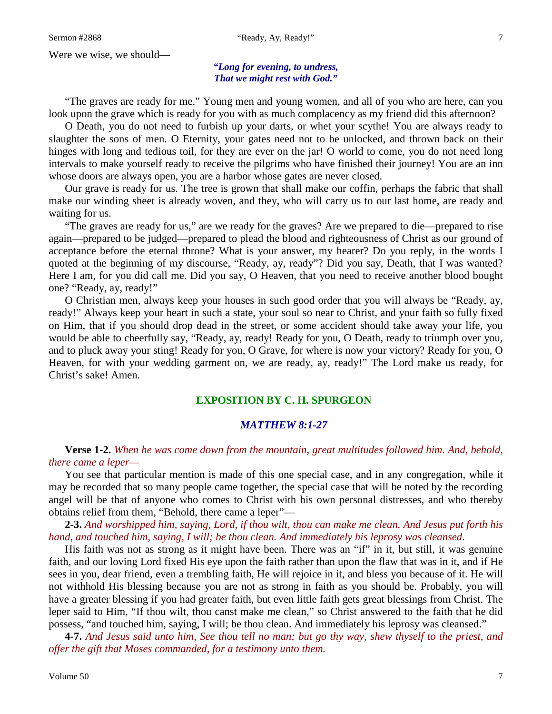Were we wise, we should—

*"Long for evening, to undress, That we might rest with God."*

"The graves are ready for me." Young men and young women, and all of you who are here, can you look upon the grave which is ready for you with as much complacency as my friend did this afternoon?

O Death, you do not need to furbish up your darts, or whet your scythe! You are always ready to slaughter the sons of men. O Eternity, your gates need not to be unlocked, and thrown back on their hinges with long and tedious toil, for they are ever on the jar! O world to come, you do not need long intervals to make yourself ready to receive the pilgrims who have finished their journey! You are an inn whose doors are always open, you are a harbor whose gates are never closed.

Our grave is ready for us. The tree is grown that shall make our coffin, perhaps the fabric that shall make our winding sheet is already woven, and they, who will carry us to our last home, are ready and waiting for us.

"The graves are ready for us," are we ready for the graves? Are we prepared to die—prepared to rise again—prepared to be judged—prepared to plead the blood and righteousness of Christ as our ground of acceptance before the eternal throne? What is your answer, my hearer? Do you reply, in the words I quoted at the beginning of my discourse, "Ready, ay, ready"? Did you say, Death, that I was wanted? Here I am, for you did call me. Did you say, O Heaven, that you need to receive another blood bought one? "Ready, ay, ready!"

O Christian men, always keep your houses in such good order that you will always be "Ready, ay, ready!" Always keep your heart in such a state, your soul so near to Christ, and your faith so fully fixed on Him, that if you should drop dead in the street, or some accident should take away your life, you would be able to cheerfully say, "Ready, ay, ready! Ready for you, O Death, ready to triumph over you, and to pluck away your sting! Ready for you, O Grave, for where is now your victory? Ready for you, O Heaven, for with your wedding garment on, we are ready, ay, ready!" The Lord make us ready, for Christ's sake! Amen.

### **EXPOSITION BY C. H. SPURGEON**

#### *MATTHEW 8:1-27*

**Verse 1-2.** *When he was come down from the mountain, great multitudes followed him. And, behold, there came a leper—*

You see that particular mention is made of this one special case, and in any congregation, while it may be recorded that so many people came together, the special case that will be noted by the recording angel will be that of anyone who comes to Christ with his own personal distresses, and who thereby obtains relief from them, "Behold, there came a leper"—

**2-3.** *And worshipped him, saying, Lord, if thou wilt, thou can make me clean. And Jesus put forth his hand, and touched him, saying, I will; be thou clean. And immediately his leprosy was cleansed*.

His faith was not as strong as it might have been. There was an "if" in it, but still, it was genuine faith, and our loving Lord fixed His eye upon the faith rather than upon the flaw that was in it, and if He sees in you, dear friend, even a trembling faith, He will rejoice in it, and bless you because of it. He will not withhold His blessing because you are not as strong in faith as you should be. Probably, you will have a greater blessing if you had greater faith, but even little faith gets great blessings from Christ. The leper said to Him, "If thou wilt, thou canst make me clean," so Christ answered to the faith that he did possess, "and touched him, saying, I will; be thou clean. And immediately his leprosy was cleansed."

**4-7.** *And Jesus said unto him, See thou tell no man; but go thy way, shew thyself to the priest, and offer the gift that Moses commanded, for a testimony unto them.*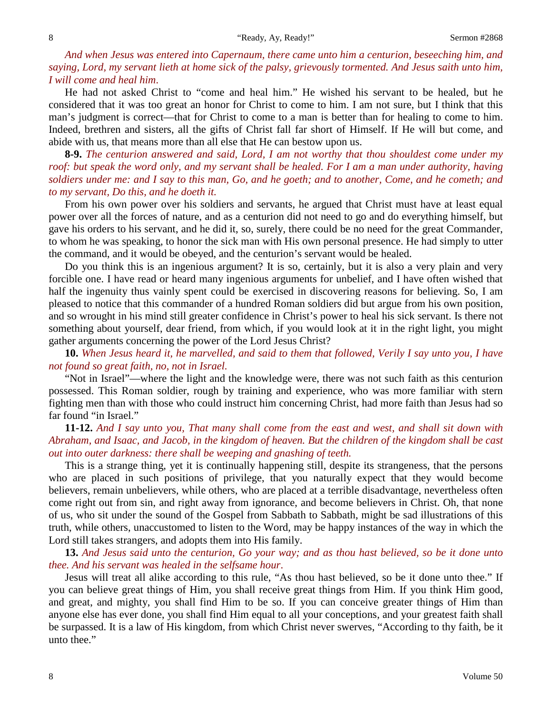*And when Jesus was entered into Capernaum, there came unto him a centurion, beseeching him, and saying, Lord, my servant lieth at home sick of the palsy, grievously tormented. And Jesus saith unto him, I will come and heal him*.

He had not asked Christ to "come and heal him." He wished his servant to be healed, but he considered that it was too great an honor for Christ to come to him. I am not sure, but I think that this man's judgment is correct—that for Christ to come to a man is better than for healing to come to him. Indeed, brethren and sisters, all the gifts of Christ fall far short of Himself. If He will but come, and abide with us, that means more than all else that He can bestow upon us.

**8-9.** *The centurion answered and said, Lord, I am not worthy that thou shouldest come under my roof: but speak the word only, and my servant shall be healed. For I am a man under authority, having soldiers under me: and I say to this man, Go, and he goeth; and to another, Come, and he cometh; and to my servant, Do this, and he doeth it.*

From his own power over his soldiers and servants, he argued that Christ must have at least equal power over all the forces of nature, and as a centurion did not need to go and do everything himself, but gave his orders to his servant, and he did it, so, surely, there could be no need for the great Commander, to whom he was speaking, to honor the sick man with His own personal presence. He had simply to utter the command, and it would be obeyed, and the centurion's servant would be healed.

Do you think this is an ingenious argument? It is so, certainly, but it is also a very plain and very forcible one. I have read or heard many ingenious arguments for unbelief, and I have often wished that half the ingenuity thus vainly spent could be exercised in discovering reasons for believing. So, I am pleased to notice that this commander of a hundred Roman soldiers did but argue from his own position, and so wrought in his mind still greater confidence in Christ's power to heal his sick servant. Is there not something about yourself, dear friend, from which, if you would look at it in the right light, you might gather arguments concerning the power of the Lord Jesus Christ?

**10.** *When Jesus heard it, he marvelled, and said to them that followed, Verily I say unto you, I have not found so great faith, no, not in Israel.*

"Not in Israel"—where the light and the knowledge were, there was not such faith as this centurion possessed. This Roman soldier, rough by training and experience, who was more familiar with stern fighting men than with those who could instruct him concerning Christ, had more faith than Jesus had so far found "in Israel."

**11-12.** *And I say unto you, That many shall come from the east and west, and shall sit down with Abraham, and Isaac, and Jacob, in the kingdom of heaven. But the children of the kingdom shall be cast out into outer darkness: there shall be weeping and gnashing of teeth.*

This is a strange thing, yet it is continually happening still, despite its strangeness, that the persons who are placed in such positions of privilege, that you naturally expect that they would become believers, remain unbelievers, while others, who are placed at a terrible disadvantage, nevertheless often come right out from sin, and right away from ignorance, and become believers in Christ. Oh, that none of us, who sit under the sound of the Gospel from Sabbath to Sabbath, might be sad illustrations of this truth, while others, unaccustomed to listen to the Word, may be happy instances of the way in which the Lord still takes strangers, and adopts them into His family.

**13.** *And Jesus said unto the centurion, Go your way; and as thou hast believed, so be it done unto thee. And his servant was healed in the selfsame hour*.

Jesus will treat all alike according to this rule, "As thou hast believed, so be it done unto thee." If you can believe great things of Him, you shall receive great things from Him. If you think Him good, and great, and mighty, you shall find Him to be so. If you can conceive greater things of Him than anyone else has ever done, you shall find Him equal to all your conceptions, and your greatest faith shall be surpassed. It is a law of His kingdom, from which Christ never swerves, "According to thy faith, be it unto thee."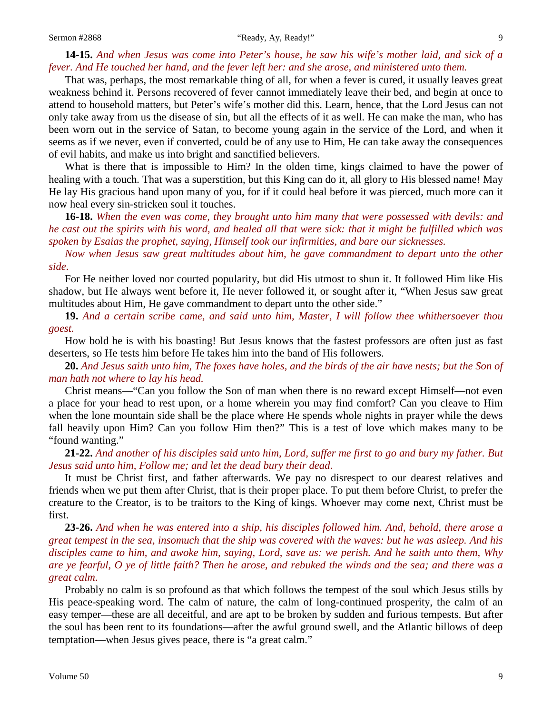#### Sermon #2868 "Ready, Ay, Ready!" 9

### **14-15.** *And when Jesus was come into Peter's house, he saw his wife's mother laid, and sick of a fever. And He touched her hand, and the fever left her: and she arose, and ministered unto them.*

That was, perhaps, the most remarkable thing of all, for when a fever is cured, it usually leaves great weakness behind it. Persons recovered of fever cannot immediately leave their bed, and begin at once to attend to household matters, but Peter's wife's mother did this. Learn, hence, that the Lord Jesus can not only take away from us the disease of sin, but all the effects of it as well. He can make the man, who has been worn out in the service of Satan, to become young again in the service of the Lord, and when it seems as if we never, even if converted, could be of any use to Him, He can take away the consequences of evil habits, and make us into bright and sanctified believers.

What is there that is impossible to Him? In the olden time, kings claimed to have the power of healing with a touch. That was a superstition, but this King can do it, all glory to His blessed name! May He lay His gracious hand upon many of you, for if it could heal before it was pierced, much more can it now heal every sin-stricken soul it touches.

**16-18.** *When the even was come, they brought unto him many that were possessed with devils: and he cast out the spirits with his word, and healed all that were sick: that it might be fulfilled which was spoken by Esaias the prophet, saying, Himself took our infirmities, and bare our sicknesses.* 

*Now when Jesus saw great multitudes about him, he gave commandment to depart unto the other side*.

For He neither loved nor courted popularity, but did His utmost to shun it. It followed Him like His shadow, but He always went before it, He never followed it, or sought after it, "When Jesus saw great multitudes about Him, He gave commandment to depart unto the other side."

**19.** *And a certain scribe came, and said unto him, Master, I will follow thee whithersoever thou goest.*

How bold he is with his boasting! But Jesus knows that the fastest professors are often just as fast deserters, so He tests him before He takes him into the band of His followers.

**20.** *And Jesus saith unto him, The foxes have holes, and the birds of the air have nests; but the Son of man hath not where to lay his head.*

Christ means—"Can you follow the Son of man when there is no reward except Himself—not even a place for your head to rest upon, or a home wherein you may find comfort? Can you cleave to Him when the lone mountain side shall be the place where He spends whole nights in prayer while the dews fall heavily upon Him? Can you follow Him then?" This is a test of love which makes many to be "found wanting."

**21-22.** *And another of his disciples said unto him, Lord, suffer me first to go and bury my father. But Jesus said unto him, Follow me; and let the dead bury their dead*.

It must be Christ first, and father afterwards. We pay no disrespect to our dearest relatives and friends when we put them after Christ, that is their proper place. To put them before Christ, to prefer the creature to the Creator, is to be traitors to the King of kings. Whoever may come next, Christ must be first.

**23-26.** *And when he was entered into a ship, his disciples followed him. And, behold, there arose a great tempest in the sea, insomuch that the ship was covered with the waves: but he was asleep. And his disciples came to him, and awoke him, saying, Lord, save us: we perish. And he saith unto them, Why are ye fearful, O ye of little faith? Then he arose, and rebuked the winds and the sea; and there was a great calm*.

Probably no calm is so profound as that which follows the tempest of the soul which Jesus stills by His peace-speaking word. The calm of nature, the calm of long-continued prosperity, the calm of an easy temper—these are all deceitful, and are apt to be broken by sudden and furious tempests. But after the soul has been rent to its foundations—after the awful ground swell, and the Atlantic billows of deep temptation—when Jesus gives peace, there is "a great calm."